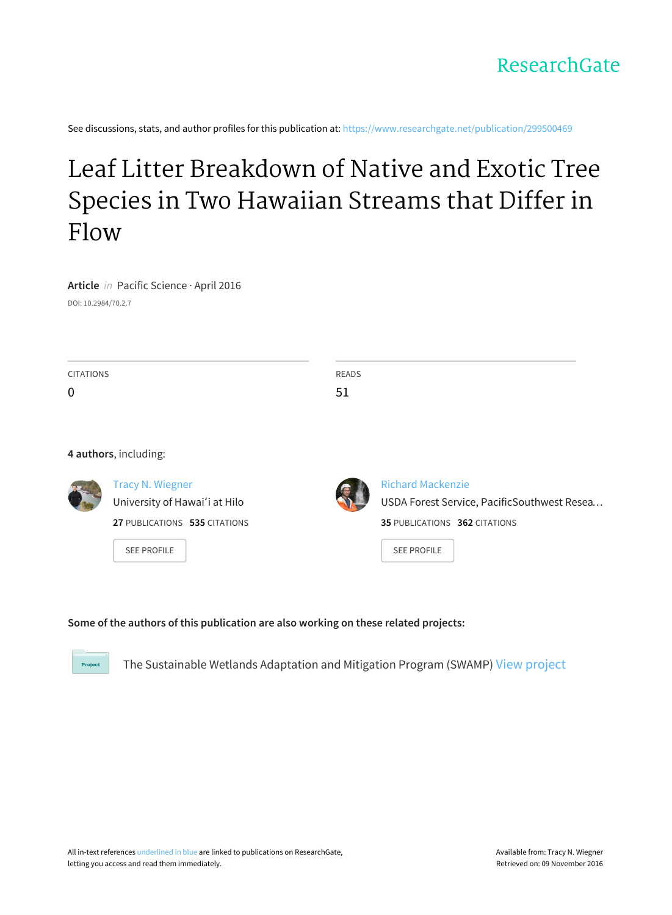See discussions, stats, and author profiles for this publication at: [https://www.researchgate.net/publication/299500469](https://www.researchgate.net/publication/299500469_Leaf_Litter_Breakdown_of_Native_and_Exotic_Tree_Species_in_Two_Hawaiian_Streams_that_Differ_in_Flow?enrichId=rgreq-bee87492208f18b8383750c0a24295f5-XXX&enrichSource=Y292ZXJQYWdlOzI5OTUwMDQ2OTtBUzozNTEyMDgxNTA3MTY0MThAMTQ2MDc0NTk1NjgzNQ%3D%3D&el=1_x_2)

# Leaf Litter [Breakdown](https://www.researchgate.net/publication/299500469_Leaf_Litter_Breakdown_of_Native_and_Exotic_Tree_Species_in_Two_Hawaiian_Streams_that_Differ_in_Flow?enrichId=rgreq-bee87492208f18b8383750c0a24295f5-XXX&enrichSource=Y292ZXJQYWdlOzI5OTUwMDQ2OTtBUzozNTEyMDgxNTA3MTY0MThAMTQ2MDc0NTk1NjgzNQ%3D%3D&el=1_x_3) of Native and Exotic Tree Species in Two Hawaiian Streams that Differ in Flow

**Article** in Pacific Science · April 2016 DOI: 10.2984/70.2.7

| <b>CITATIONS</b> |                               | <b>READS</b> |                                             |  |
|------------------|-------------------------------|--------------|---------------------------------------------|--|
| 0                |                               | 51           |                                             |  |
|                  |                               |              |                                             |  |
|                  |                               |              |                                             |  |
|                  | 4 authors, including:         |              |                                             |  |
|                  | <b>Tracy N. Wiegner</b>       |              | <b>Richard Mackenzie</b>                    |  |
|                  | University of Hawai'i at Hilo |              | USDA Forest Service, PacificSouthwest Resea |  |
|                  | 27 PUBLICATIONS 535 CITATIONS |              | 35 PUBLICATIONS 362 CITATIONS               |  |
|                  | <b>SEE PROFILE</b>            |              | <b>SEE PROFILE</b>                          |  |

# **Some of the authors of this publication are also working on these related projects:**

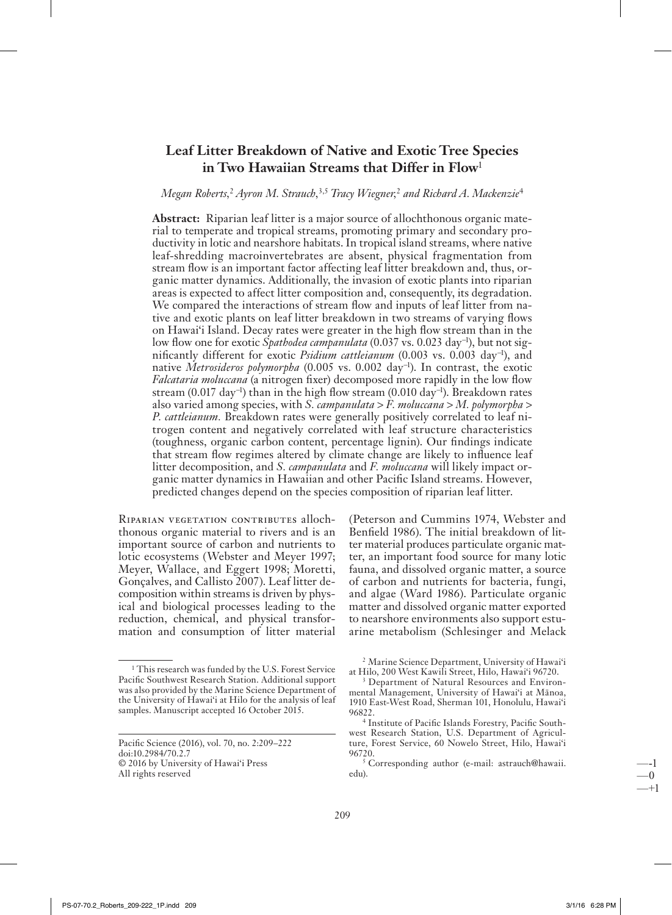# **Leaf Litter Breakdown of Native and Exotic Tree Species** in Two Hawaiian Streams that Differ in Flow

# Megan Roberts,<sup>2</sup> Ayron M. Strauch,<sup>3,5</sup> Tracy Wiegner,<sup>2</sup> and Richard A. Mackenzie<sup>4</sup>

Abstract: Riparian leaf litter is a major source of allochthonous organic material to temperate and tropical streams, promoting primary and secondary productivity in lotic and nearshore habitats. In tropical island streams, where native leaf-shredding macroinvertebrates are absent, physical fragmentation from stream flow is an important factor affecting leaf litter breakdown and, thus, organic matter dynamics. Additionally, the invasion of exotic plants into riparian areas is expected to affect litter composition and, consequently, its degradation. We compared the interactions of stream flow and inputs of leaf litter from native and exotic plants on leaf litter breakdown in two streams of varying flows on Hawai'i Island. Decay rates were greater in the high flow stream than in the low flow one for exotic Spathodea campanulata (0.037 vs. 0.023 day<sup>-1</sup>), but not significantly different for exotic Psidium cattleianum (0.003 vs. 0.003 day<sup>-1</sup>), and native Metrosideros polymorpha (0.005 vs. 0.002 day<sup>-1</sup>). In contrast, the exotic *Falcataria moluccana* (a nitrogen fixer) decomposed more rapidly in the low flow stream (0.017 day<sup>-1</sup>) than in the high flow stream (0.010 day<sup>-1</sup>). Breakdown rates also varied among species, with S. *campanulata* > F. *moluccana* > M. *polymorpha* > P. cattleianum. Breakdown rates were generally positively correlated to leaf nitrogen content and negatively correlated with leaf structure characteristics (toughness, organic carbon content, percentage lignin). Our findings indicate that stream flow regimes altered by climate change are likely to influence leaf litter decomposition, and S. campanulata and F. moluccana will likely impact organic matter dynamics in Hawaiian and other Pacific Island streams. However, predicted changes depend on the species composition of riparian leaf litter.

RIPARIAN VEGETATION CONTRIBUTES allochthonous organic material to rivers and is an important source of carbon and nutrients to lotic ecosystems (Webster and Meyer 1997; Meyer, Wallace, and Eggert 1998; Moretti, Gonçalves, and Callisto 2007). Leaf litter decomposition within streams is driven by physical and biological processes leading to the reduction, chemical, and physical transformation and consumption of litter material

Pacific Science (2016), vol. 70, no. 2:209-222 doi:10.2984/70.2.7 C 2016 by University of Hawai'i Press All rights reserved

<sup>&</sup>lt;sup>1</sup> This research was funded by the U.S. Forest Service Pacific Southwest Research Station. Additional support was also provided by the Marine Science Department of the University of Hawai'i at Hilo for the analysis of leaf samples. Manuscript accepted 16 October 2015.

<sup>(</sup>Peterson and Cummins 1974, Webster and Benfield 1986). The initial breakdown of litter material produces particulate organic matter, an important food source for many lotic fauna, and dissolved organic matter, a source of carbon and nutrients for bacteria, fungi, and algae (Ward 1986). Particulate organic matter and dissolved organic matter exported to nearshore environments also support estuarine metabolism (Schlesinger and Melack

<sup>&</sup>lt;sup>2</sup> Marine Science Department, University of Hawai'i at Hilo, 200 West Kawili Street, Hilo, Hawai'i 96720.

Department of Natural Resources and Environmental Management, University of Hawai'i at Mānoa, 1910 East-West Road, Sherman 101, Honolulu, Hawai'i 96822

<sup>&</sup>lt;sup>4</sup> Institute of Pacific Islands Forestry, Pacific Southwest Research Station, U.S. Department of Agriculture, Forest Service, 60 Nowelo Street, Hilo, Hawai'i 96720.

<sup>&</sup>lt;sup>5</sup> Corresponding author (e-mail: astrauch@hawaii. edu).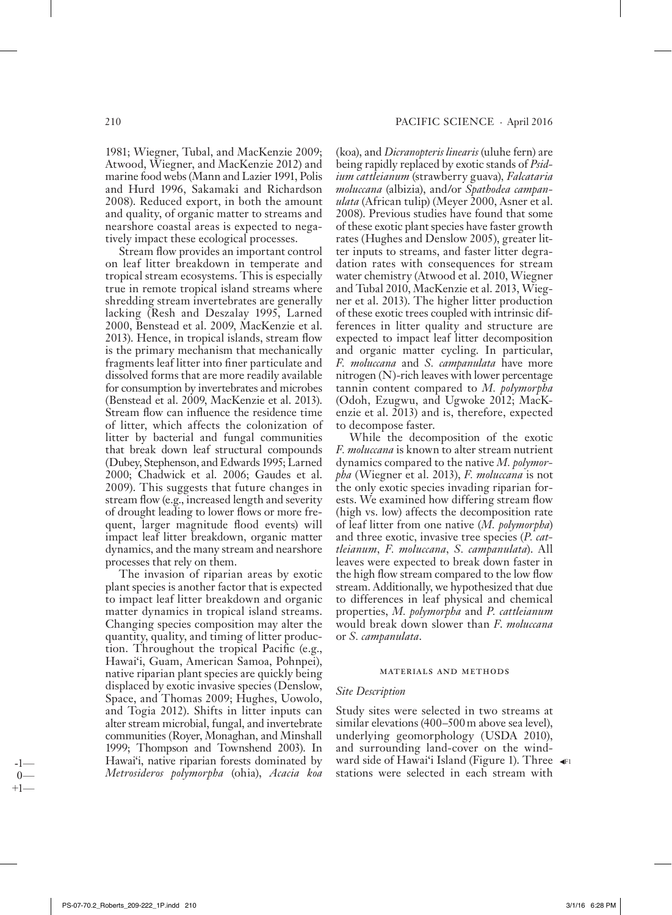1981; Wiegner, Tubal, and MacKenzie 2009; Atwood, Wiegner, and MacKenzie 2012) and marine food webs (Mann and Lazier 1991, Polis and Hurd 1996, Sakamaki and Richardson 2008). Reduced export, in both the amount and quality, of organic matter to streams and nearshore coastal areas is expected to negatively impact these ecological processes.

Stream flow provides an important control on leaf litter breakdown in temperate and tropical stream ecosystems. This is especially true in remote tropical island streams where shredding stream invertebrates are generally lacking (Resh and Deszalay 1995, Larned 2000, Benstead et al. 2009, MacKenzie et al. 2013). Hence, in tropical islands, stream flow is the primary mechanism that mechanically fragments leaf litter into finer particulate and dissolved forms that are more readily available for consumption by invertebrates and microbes (Benstead et al. 2009, MacKenzie et al. 2013). Stream flow can influence the residence time of litter, which affects the colonization of litter by bacterial and fungal communities that break down leaf structural compounds (Dubey, Stephenson, and Edwards 1995; Larned 2000; Chadwick et al. 2006; Gaudes et al. 2009). This suggests that future changes in stream flow (e.g., increased length and severity of drought leading to lower flows or more frequent, larger magnitude flood events) will impact leaf litter breakdown, organic matter dynamics, and the many stream and nearshore processes that rely on them.

The invasion of riparian areas by exotic plant species is another factor that is expected to impact leaf litter breakdown and organic matter dynamics in tropical island streams. Changing species composition may alter the quantity, quality, and timing of litter production. Throughout the tropical Pacific (e.g., Hawai'i, Guam, American Samoa, Pohnpei), native riparian plant species are quickly being displaced by exotic invasive species (Denslow, Space, and Thomas 2009; Hughes, Uowolo, and Togia 2012). Shifts in litter inputs can alter stream microbial, fungal, and invertebrate communities (Royer, Monaghan, and Minshall 1999; Thompson and Townshend 2003). In Hawai'i, native riparian forests dominated by Metrosideros polymorpha (ohia), Acacia koa

(koa), and *Dicranopteris linearis* (uluhe fern) are being rapidly replaced by exotic stands of *Psid*ium cattleianum (strawberry guava), Falcataria moluccana (albizia), and/or Spathodea campanulata (African tulip) (Meyer 2000, Asner et al. 2008). Previous studies have found that some of these exotic plant species have faster growth rates (Hughes and Denslow 2005), greater litter inputs to streams, and faster litter degradation rates with consequences for stream water chemistry (Atwood et al. 2010, Wiegner and Tubal 2010, MacKenzie et al. 2013, Wiegner et al. 2013). The higher litter production of these exotic trees coupled with intrinsic differences in litter quality and structure are expected to impact leaf litter decomposition and organic matter cycling. In particular, F. moluccana and S. campanulata have more nitrogen  $(N)$ -rich leaves with lower percentage tannin content compared to M. polymorpha (Odoh, Ezugwu, and Ugwoke 2012; MacKenzie et al. 2013) and is, therefore, expected to decompose faster.

While the decomposition of the exotic *F. moluccana* is known to alter stream nutrient dynamics compared to the native  $M$ . polymor*pha* (Wiegner et al. 2013), *F. moluccana* is not the only exotic species invading riparian forests. We examined how differing stream flow (high vs. low) affects the decomposition rate of leaf litter from one native (M. polymorpha) and three exotic, invasive tree species (P. cattleianum, F. moluccana, S. campanulata). All leaves were expected to break down faster in the high flow stream compared to the low flow stream. Additionally, we hypothesized that due to differences in leaf physical and chemical properties, M. polymorpha and P. cattleianum would break down slower than F. moluccana or *S. campanulata*.

#### MATERIALS AND METHODS

#### **Site Description**

Study sites were selected in two streams at similar elevations (400–500 m above sea level), underlying geomorphology (USDA 2010), and surrounding land-cover on the windward side of Hawai'i Island (Figure 1). Three < stations were selected in each stream with

 $+1$ 

 $\Omega$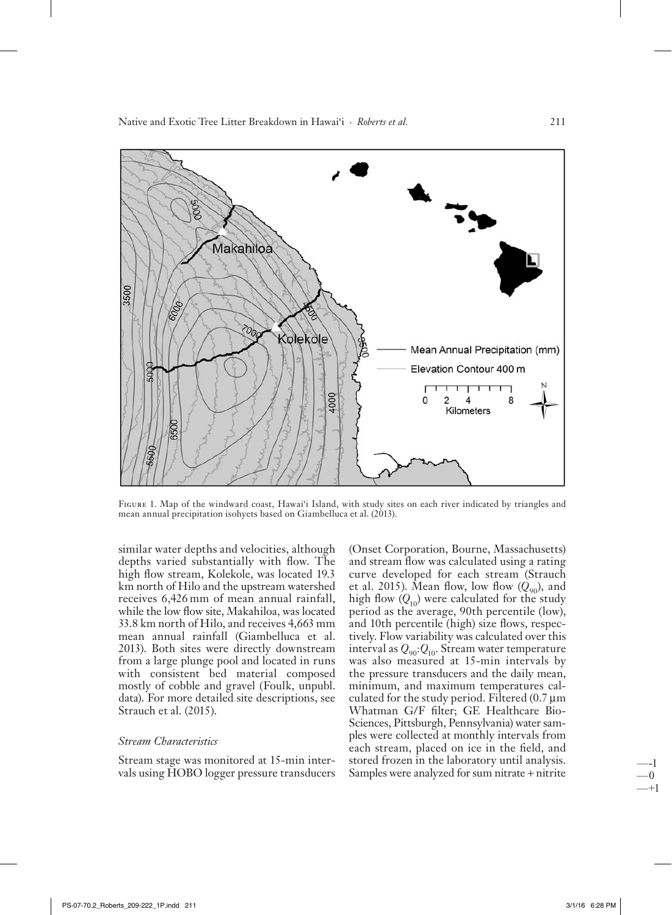Native and Exotic Tree Litter Breakdown in Hawai'i · *Roberts et al.* 211



FIGURE 1. Map of the windward coast, Hawai'i Island, with study sites on each river indicated by triangles and mean annual precipitation isohyets based on Giambelluca et al. (2013).

similar water depths and velocities, although depths varied substantially with flow. The high flow stream, Kolekole, was located 19.3 km north of Hilo and the upstream watershed receives 6,426 mm of mean annual rainfall, while the low flow site, Makahiloa, was located 33.8 km north of Hilo, and receives 4,663 mm mean an nual rain fall (Giambelluca et al. 2013). Both sites were directly downstream from a large plunge pool and located in runs with consistent bed material composed mostly of cobble and gravel (Foulk, unpubl. data). For more detailed site descriptions, see Strauch et al. (2015).

# *Stream Characteristics*

Stream stage was monitored at 15-min intervals using HOBO logger pressure transducers

(Onset Corporation, Bourne, Massachusetts) and stream flow was calculated using a rating curve developed for each stream (Strauch et al. 2015). Mean flow, low flow  $(Q_{90})$ , and high flow  $(Q_{10})$  were calculated for the study period as the average, 90th percentile (low), and 10th percentile (high) size flows, respectively. Flow variability was calculated over this interval as  $Q_{90}$ : $Q_{10}$ . Stream water temperature was also measured at 15-min intervals by the pressure transducers and the daily mean, minimum, and maximum temperatures calculated for the study period. Filtered  $(0.7 \,\mu m)$ Whatman G/F filter; GE Healthcare Bio-Sciences, Pittsburgh, Pennsylvania) water samples were collected at monthly intervals from each stream, placed on ice in the field, and stored frozen in the laboratory until analysis. Samples were analyzed for sum nitrate + nitrite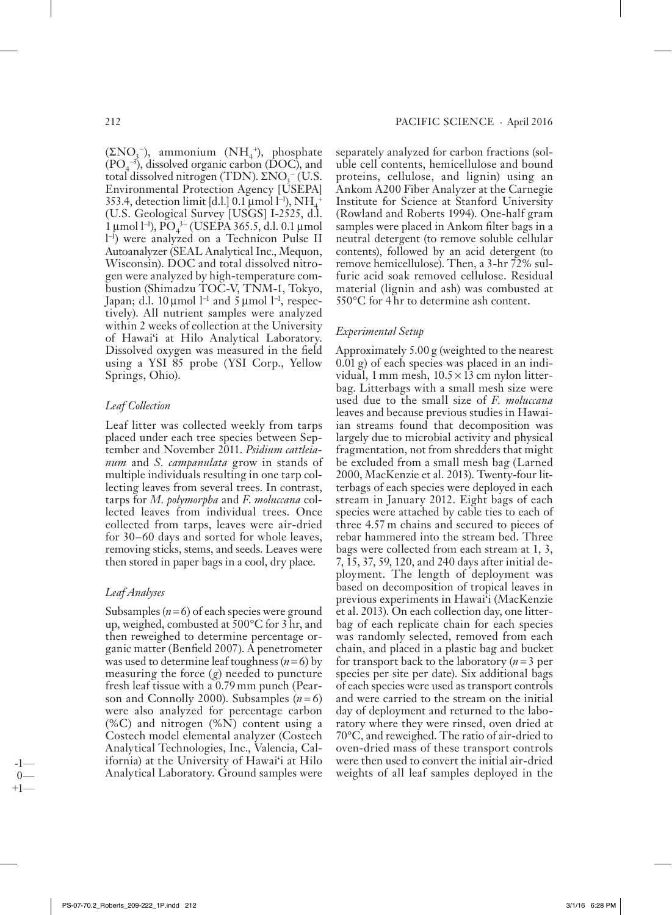$(\Sigma NO<sub>3</sub>^-)$ , ammonium  $(NH<sub>4</sub>^+)$ , phosphate  $(PO<sub>4</sub><sup>-3</sup>)$ , dissolved organic carbon (DOC), and total dissolved nitrogen (TDN). Σ $NO<sub>3</sub><sup>-</sup>(U.S.$ Environmental Protection Agency [USEPA]  $353.4$ , detection limit [d.l.]  $0.1 \,\mu$ mol l<sup>-1</sup>), NH<sub>4</sub> + (U.S. Geological Survey [USGS] I-2525, d.l.  $1 \mu$ mol l<sup>-1</sup>), PO<sub>4</sub><sup>3</sup> (USEPA 365.5, d.l. 0.1 μmol l<sup>-1</sup>) were analyzed on a Technicon Pulse II Autoanalyzer (SEAL Analytical Inc., Mequon, Wisconsin). DOC and total dissolved nitrogen were analyzed by high-temperature combustion (Shimadzu TOC-V, TNM-1, Tokyo, Japan; d.l. 10 μmol l<sup>−1</sup> and 5 μmol l<sup>−1</sup>, respectively). All nutrient samples were analyzed within 2 weeks of collection at the University of Hawai'i at Hilo Analytical Laboratory. Dissolved oxygen was measured in the field using a YSI 85 probe (YSI Corp., Yellow Springs, Ohio).

# *Leaf Collection*

Leaf litter was collected weekly from tarps placed under each tree species between Septem ber and No vem ber 2011. *Psidium cattleianum* and *S. campanulata* grow in stands of multiple individuals resulting in one tarp collecting leaves from several trees. In contrast, tarps for *M. polymorpha* and *F*. *moluccana* collected leaves from individual trees. Once collected from tarps, leaves were air-dried for 30-60 days and sorted for whole leaves, removing sticks, stems, and seeds. Leaves were then stored in paper bags in a cool, dry place.

# *Leaf Analyses*

Subsamples  $(n=6)$  of each species were ground up, weighed, combusted at  $500^{\circ}$ C for 3 hr, and then reweighed to determine percentage organic matter (Benfield 2007). A penetrometer was used to determine leaf toughness  $(n=6)$  by measuring the force  $(g)$  needed to puncture fresh leaf tissue with a 0.79 mm punch (Pearson and Connolly 2000). Subsamples  $(n=6)$ were also analyzed for percentage carbon  $(\% C)$  and nitrogen  $(\% N)$  content using a Costech model elemental analyzer (Costech Analytical Technologies, Inc., Valencia, California) at the University of Hawai'i at Hilo Analytical Laboratory. Ground samples were

separately analyzed for carbon fractions (soluble cell contents, hemicellulose and bound proteins, cellulose, and lignin) using an Ankom A200 Fiber Analyzer at the Carnegie Institute for Science at Stanford University (Rowland and Roberts 1994). One-half gram samples were placed in Ankom filter bags in a neutral de tergent (to remove soluble cellular contents), followed by an acid detergent (to remove hemicellulose). Then, a 3-hr 72% sulfuric acid soak removed cellulose. Residual material (lignin and ash) was combusted at  $550^{\circ}$ C for 4 hr to determine ash content.

# *Experimental Setup*

Approximately 5.00 g (weighted to the nearest  $(0.01 \text{ g})$  of each species was placed in an individual, 1 mm mesh,  $10.5 \times 13$  cm nylon litterbag. Litterbags with a small mesh size were used due to the small size of *F. moluccana* leaves and because previous studies in Hawaiian streams found that decomposition was largely due to microbial activity and physical fragmentation, not from shredders that might be excluded from a small mesh bag (Larned 2000, MacKenzie et al. 2013). Twenty-four litterbags of each species were deployed in each stream in January 2012. Eight bags of each species were attached by cable ties to each of three 4.57 m chains and secured to pieces of rebar hammered into the stream bed. Three bags were collected from each stream at 1, 3, 7, 15, 37, 59, 120, and 240 days after initial deployment. The length of deployment was based on decomposition of tropical leaves in previous experiments in Hawai'i (MacKenzie et al. 2013). On each collection day, one litterbag of each replicate chain for each species was randomly selected, removed from each chain, and placed in a plastic bag and bucket for transport back to the laboratory  $(n=3$  per species per site per date). Six additional bags of each species were used as transport controls and were carried to the stream on the initial day of deployment and returned to the laboratory where they were rinsed, oven dried at  $70^{\circ}$ C, and reweighed. The ratio of air-dried to oven-dried mass of these transport controls were then used to convert the initial air-dried weights of all leaf samples deployed in the

-1—  $\Omega$  $+1$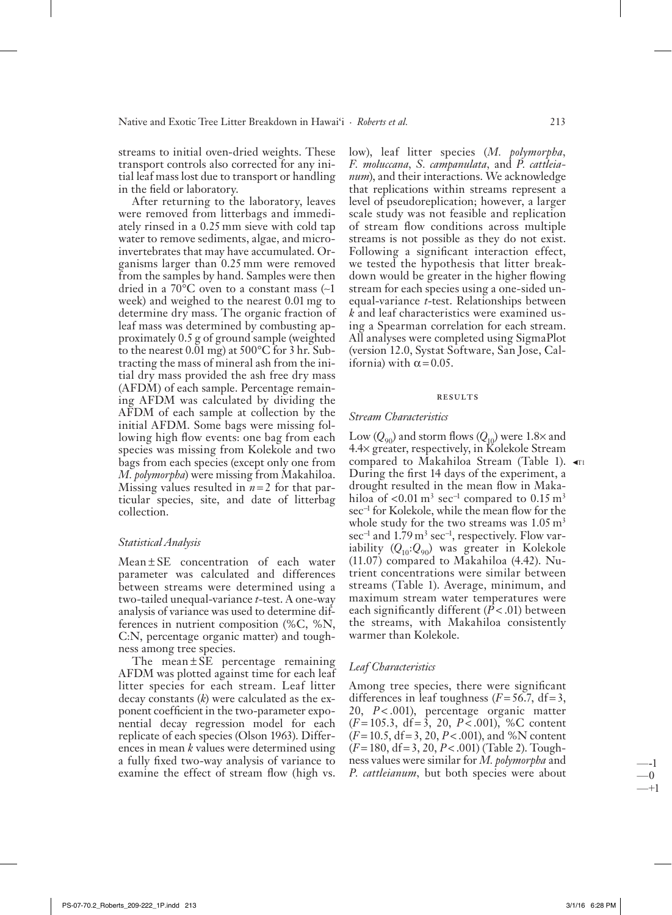streams to initial oven-dried weights. These transport controls also corrected for any initial leaf mass lost due to transport or handling in the field or laboratory.

After returning to the laboratory, leaves were removed from litterbags and immediately rinsed in a 0.25 mm sieve with cold tap water to remove sediments, algae, and microinvertebrates that may have accumulated. Organisms larger than 0.25 mm were removed from the samples by hand. Samples were then dried in a 70 $\mathrm{^{\circ}C}$  oven to a constant mass (~1 week) and weighed to the nearest 0.01 mg to de termine dry mass. The organic fraction of leaf mass was determined by combusting approximately 0.5 g of ground sample (weighted to the nearest  $0.01$  mg) at  $500^{\circ}$ C for 3 hr. Subtracting the mass of mineral ash from the initial dry mass provided the ash free dry mass (AFDM) of each sample. Percentage remaining AFDM was calculated by dividing the AFDM of each sample at collection by the initial AFDM. Some bags were missing following high flow events: one bag from each species was missing from Kolekole and two bags from each species (except only one from *M. polymorpha*) were missing from Makahiloa. Missing values resulted in  $n=2$  for that particular species, site, and date of litterbag collection.

#### *Statistical Analysis*

 $Mean \pm SE$  concentration of each water parameter was calculated and differences between streams were determined using a two-tailed unequal-variance *t*-test. A one-way analysis of variance was used to determine differences in nutrient composition  $% C, \% N$ , C:N, percentage organic matter) and toughness among tree species.

The mean  $\pm$  SE percentage remaining AFDM was plotted against time for each leaf litter species for each stream. Leaf litter decay constants  $(k)$  were calculated as the exponent coefficient in the two-parameter exponential decay regression model for each replicate of each species (Olson 1963). Differences in mean *k* values were determined using a fully fixed two-way analysis of variance to examine the effect of stream flow (high vs.

low), leaf litter species (M. polymorpha, *F. moluccana, S. campanulata,* and *P. cattleianum*), and their interactions. We acknowledge that replications within streams represent a level of pseudoreplication; however, a larger scale study was not feasible and replication of stream flow conditions across multiple streams is not possible as they do not exist. Following a significant interaction effect, we tested the hypothesis that litter breakdown would be greater in the higher flowing stream for each species using a one-sided unequal-variance *t*-test. Relationships between *k* and leaf characteristics were examined using a Spearman correlation for each stream. All analyses were completed using SigmaPlot (version 12.0, Systat Software, San Jose, California) with  $\alpha = 0.05$ .

#### **RESULTS**

#### *Stream Characteristics*

Low  $(Q_{90})$  and storm flows  $(Q_{10})$  were 1.8 $\times$  and 4.4× greater, respectively, in Kolekole Stream compared to Makahiloa Stream (Table 1). ৰা During the first 14 days of the experiment, a drought resulted in the mean flow in Makahiloa of <0.01 m<sup>3</sup> sec<sup>-1</sup> compared to 0.15 m<sup>3</sup> sec<sup>-1</sup> for Kolekole, while the mean flow for the whole study for the two streams was  $1.05 \text{ m}^3$ sec<sup>-1</sup> and 1.79 m<sup>3</sup> sec<sup>-1</sup>, respectively. Flow variability  $(Q_{10}:Q_{90})$  was greater in Kolekole  $(11.07)$  compared to Makahiloa  $(4.42)$ . Nutrient concentrations were similar between streams (Table 1). Average, minimum, and maximum stream water temperatures were each significantly different  $(P < .01)$  between the streams, with Makahiloa consistently warmer than Kolekole.

#### *Leaf Characteristics*

Among tree species, there were significant differences in leaf toughness  $(F = 56.7, df = 3,$ 20, P<.001), percentage organic matter  $(F=105.3, df=\overline{3}, 20, P<0.01), %$ C content  $(F = 10.5, df = 3, 20, P < .001)$ , and %N content ( *F* = 180, df = 3, 20, *P* < .001) (Table 2). Toughness values were similar for *M. polymorpha* and *P. cattleianum*, but both species were about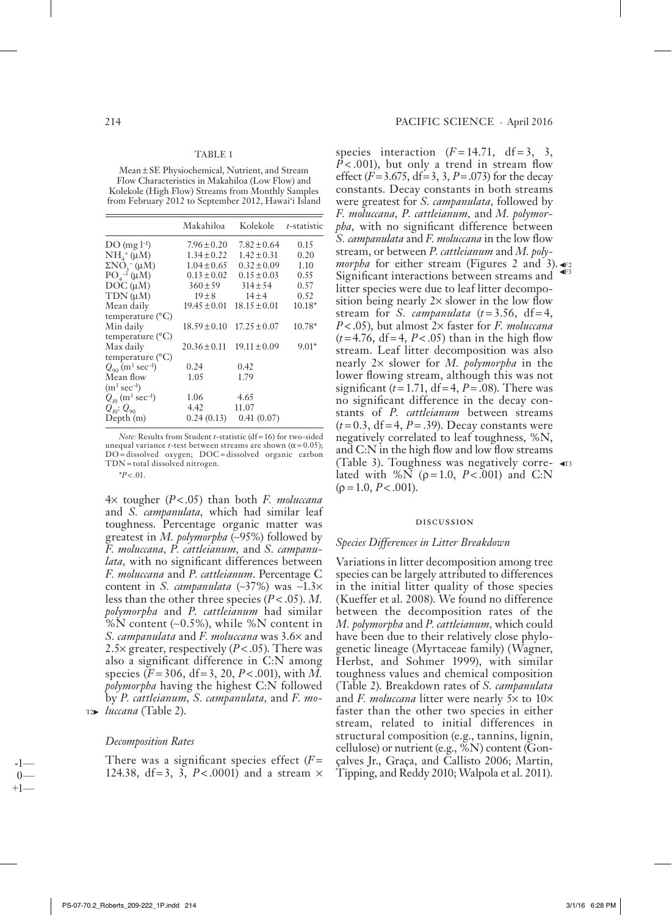#### TABLE 1

Mean ± SE Physiochemical, Nutrient, and Stream Flow Characteristics in Makahiloa (Low Flow) and Kolekole (High Flow) Streams from Monthly Samples from February 2012 to September 2012, Hawai'i Island

|                                                                               | Makahiloa        | Kolekole         | t-statistic |
|-------------------------------------------------------------------------------|------------------|------------------|-------------|
| $DO(mg l-1)$                                                                  | $7.96 \pm 0.20$  | $7.82 \pm 0.64$  | 0.15        |
| $NH4+ (µM)$                                                                   | $1.34 \pm 0.22$  | $1.42 \pm 0.31$  | 0.20        |
|                                                                               | $1.04 \pm 0.65$  | $0.32 \pm 0.09$  | 1.10        |
| $\Sigma N\dot{O}_3^-(\mu\dot{M})$<br>PO <sub>4</sub> <sup>-3</sup> ( $\mu$ M) | $0.13 \pm 0.02$  | $0.15 \pm 0.03$  | 0.55        |
| $DOC(\mu M)$                                                                  | $360 \pm 59$     | $314 \pm 54$     | 0.57        |
| $TDN(\mu M)$                                                                  | $19 \pm 8$       | $14 + 4$         | 0.52        |
| Mean daily                                                                    | $19.45 \pm 0.01$ | $18.15 \pm 0.01$ | $10.18*$    |
| temperature $(^{\circ}C)$                                                     |                  |                  |             |
| Min daily                                                                     | $18.59 \pm 0.10$ | $17.25 \pm 0.07$ | $10.78*$    |
| temperature $(^{\circ}C)$                                                     |                  |                  |             |
| Max daily                                                                     | $20.36 \pm 0.11$ | $19.11 \pm 0.09$ | $9.01*$     |
| temperature $(^{\circ}C)$                                                     |                  |                  |             |
| $Q_{\rm on}$ (m <sup>3</sup> sec <sup>-1</sup> )                              | 0.24             | 0.42             |             |
| Mean flow                                                                     | 1.05             | 1.79             |             |
| $(m^3 \text{ sec}^{-1})$                                                      |                  |                  |             |
| $Q_{10}$ (m <sup>3</sup> sec <sup>-1</sup> )                                  | 1.06             | 4.65             |             |
| $Q_{\text{no}}$ : $Q_{\text{on}}$                                             | 4.42             | 11.07            |             |
| Depth(m)                                                                      | 0.24(0.13)       | 0.41(0.07)       |             |

*Note:* Results from Student *t*-statistic (df = 16) for two-sided une qual variance *t*-test between streams are shown ( $\alpha$  = 0.05); DO=dissolved oxygen; DOC=dissolved organic carbon TDN = to tal dissolved ni tro gen.

 $*P < .01$ .

 $4 \times$  tougher ( $P < .05$ ) than both *F. moluccana* and *S. campanulata*, which had similar leaf toughness. Percentage organic matter was greatest in *M. polymorpha* (~95%) followed by *F. moluccana, P. cattleianum,* and *S. campanu*lata, with no significant differences between *F. moluccana* and *P. cattleianum*. Percentage C content in *S. campanulata* (~37%) was ~1.3× less than the other three species  $(P < .05)$ . *M*. *polymorpha* and *P. cattleianum* had similar % N content ( $~0.5\%$ ), while %N content in *S. campanulata* and *F. moluccana* was 3.6 $\times$  and 2.5 $\times$  greater, respectively (*P*<.05). There was also a significant difference in  $C:\mathbb{N}$  among species  $(F = 306, df = 3, 20, P < .001)$ , with M. polymorpha having the highest C:N followed by *P. cattleianum, S. campanulata,* and *F. mo-*T2► *luccana* (Table 2).

### *Decomposition Rates*

-1—  $\Omega$  $+1$ 

There was a significant species effect  $(F =$ 124.38, df = 3,  $\overline{3}$ ,  $P < .0001$ ) and a stream  $\times$ 

species interaction  $(F = 14.71, df = 3, 3,$  $P < .001$ ), but only a trend in stream flow effect  $(F = 3.675, df = 3, 3, P = .073)$  for the decay constants. Decay constants in both streams were greatest for *S. campanulata,* followed by *F. moluccana, P. cattleianum,* and *M. polymorpha*, with no significant difference between *S. campanulata* and *F. moluccana* in the low flow stream, or between *P. cattleianum* and *M. polymorpha* for either stream (Figures 2 and 3). Significant interactions between streams and litter species were due to leaf litter decomposition being nearly  $2 \times$  slower in the low flow stream for *S. campanulata*  $(t=3.56, df=4,$ *P* < .05), but almost 2× faster for *F. moluccana*  $(t=4.76, df=4, P<0.05)$  than in the high flow stream. Leaf litter decomposition was also nearly 2× slower for *M. polymorpha* in the lower flowing stream, although this was not significant  $(t=1.71, df=4, P=.08)$ . There was no significant difference in the decay constants of *P. cattleianum* between streams  $(t = 0.3, df = 4, P = .39)$ . Decay constants were negatively correlated to leaf toughness,  $\% N$ , and  $C:$ N in the high flow and low flow streams (Table 3). Toughness was negatively correlated with %N ( $\rho$ =1.0, *P*<.001) and C:N  $(\rho = 1.0, P < .001)$ . T3

#### **DISCUSSION**

#### *Species Differences in Litter Breakdown*

Variations in litter decomposition among tree species can be largely attributed to differences in the initial litter quality of those species (Kueffer et al. 2008). We found no difference between the decomposition rates of the *M. polymorpha* and *P. cattleianum,* which could have been due to their relatively close phylogenetic lineage (Myrtaceae family) (Wagner, Herbst, and Sohmer 1999), with similar toughness values and chemical composition (Table 2). Breakdown rates of *S. campanulata* and *F. moluccana* litter were nearly  $5 \times$  to  $10 \times$ faster than the other two species in either stream, related to initial differences in structural composition (e.g., tannins, lignin, cellulose) or nutrient (e.g.,  $\%N$ ) content (Gonçalves Jr., Graça, and Callisto 2006; Martin, Tipping, and Reddy 2010; Walpola et al. 2011).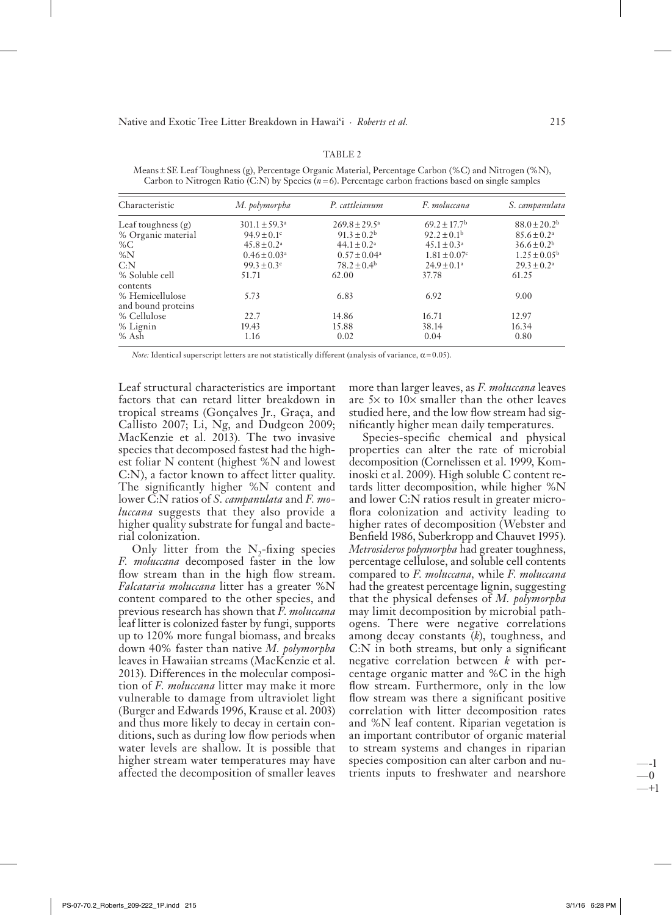| Characteristic                        | M. polymorpha                | P. cattleianum           | F. moluccana                 | S. campanulata               |
|---------------------------------------|------------------------------|--------------------------|------------------------------|------------------------------|
| Leaf toughness (g)                    | $301.1 \pm 59.3^{\circ}$     | $269.8 \pm 29.5^{\circ}$ | $69.2 \pm 17.7$ <sup>b</sup> | $88.0 \pm 20.2$ <sup>b</sup> |
| % Organic material                    | $94.9 \pm 0.1$ c             | $91.3 \pm 0.2^{\rm b}$   | $92.2 \pm 0.1^{\rm b}$       | $85.6 \pm 0.2^{\circ}$       |
| % $C$                                 | $45.8 \pm 0.2^{\circ}$       | $44.1 \pm 0.2^a$         | $45.1 \pm 0.3^a$             | $36.6 \pm 0.2^{\rm b}$       |
| %N                                    | $0.46 \pm 0.03$ <sup>a</sup> | $0.57 \pm 0.04^a$        | $1.81 \pm 0.07$ <sup>c</sup> | $1.25 \pm 0.05^{\rm b}$      |
| C: N                                  | $99.3 \pm 0.3$ <sup>c</sup>  | $78.2 \pm 0.4^{\rm b}$   | $24.9 \pm 0.1^a$             | $29.3 \pm 0.2^a$             |
| % Soluble cell<br>contents            | 51.71                        | 62.00                    | 37.78                        | 61.25                        |
| % Hemicellulose<br>and bound proteins | 5.73                         | 6.83                     | 6.92                         | 9.00                         |
| % Cellulose                           | 22.7                         | 14.86                    | 16.71                        | 12.97                        |
| % Lignin                              | 19.43                        | 15.88                    | 38.14                        | 16.34                        |
| % Ash                                 | 1.16                         | 0.02                     | 0.04                         | 0.80                         |

TABLE 2 Means ± SE Leaf Toughness (g), Percentage Organic Material, Percentage Carbon (%C) and Nitrogen (%N), Carbon to Nitrogen Ratio (C:N) by Species ( $n=6$ ). Percentage carbon fractions based on single samples

Note: Identical superscript letters are not statistically different (analysis of variance,  $\alpha$  = 0.05).

Leaf structural characteristics are important factors that can retard litter breakdown in tropical streams (Gonçalves Jr., Graça, and Callisto 2007; Li, Ng, and Dudgeon 2009; MacKenzie et al. 2013). The two invasive species that decomposed fastest had the highest foliar N content (highest %N and lowest C:N), a factor known to affect litter quality. The significantly higher %N content and lower C:N ratios of *S. campanulata* and *F. moluccana* suggests that they also provide a higher quality substrate for fungal and bacterial colonization.

Only litter from the  $N$ -fixing species F. moluccana decomposed faster in the low flow stream than in the high flow stream. Falcataria moluccana litter has a greater %N content compared to the other species, and previous research has shown that F. moluccana leaf litter is colonized faster by fungi, supports up to 120% more fungal biomass, and breaks down 40% faster than native M. polymorpha leaves in Hawaiian streams (MacKenzie et al. 2013). Differences in the molecular composition of F. moluccana litter may make it more vulnerable to damage from ultraviolet light (Burger and Edwards 1996, Krause et al. 2003) and thus more likely to decay in certain conditions, such as during low flow periods when water levels are shallow. It is possible that higher stream water temperatures may have affected the decomposition of smaller leaves more than larger leaves, as F. moluccana leaves are  $5\times$  to  $10\times$  smaller than the other leaves studied here, and the low flow stream had significantly higher mean daily temperatures.

Species-specific chemical and physical properties can alter the rate of microbial decomposition (Cornelissen et al. 1999, Kominoski et al. 2009). High soluble C content retards litter decomposition, while higher %N and lower C:N ratios result in greater microflora colonization and activity leading to higher rates of decomposition (Webster and Benfield 1986, Suberkropp and Chauvet 1995). Metrosideros polymorpha had greater toughness, percentage cellulose, and soluble cell contents compared to F. moluccana, while F. moluccana had the greatest percentage lignin, suggesting that the physical defenses of M. polymorpha may limit decomposition by microbial pathogens. There were negative correlations among decay constants  $(k)$ , toughness, and C:N in both streams, but only a significant negative correlation between  $k$  with percentage organic matter and %C in the high flow stream. Furthermore, only in the low flow stream was there a significant positive correlation with litter decomposition rates and %N leaf content. Riparian vegetation is an important contributor of organic material to stream systems and changes in riparian species composition can alter carbon and nutrients inputs to freshwater and nearshore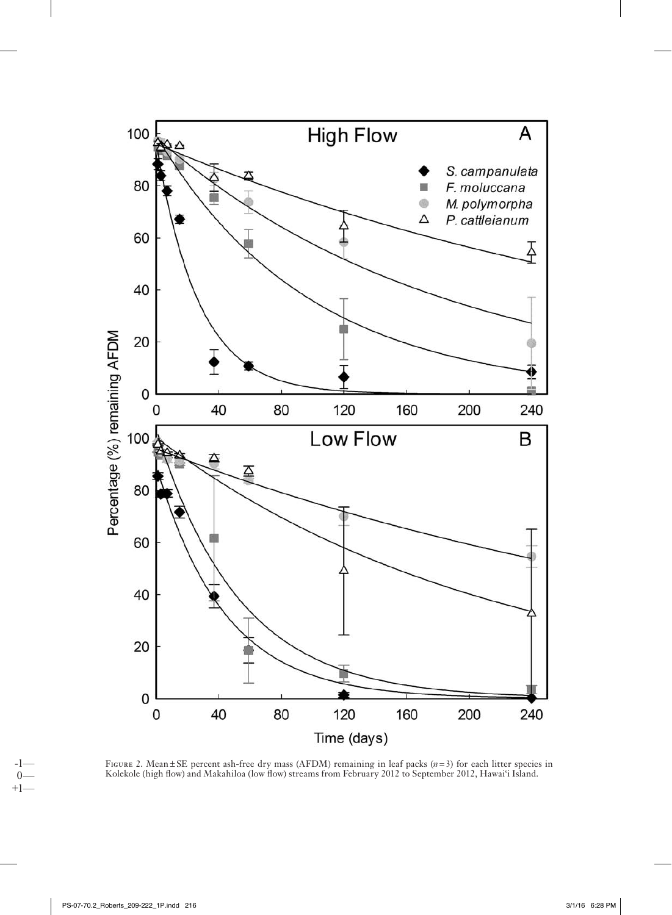

FIGURE 2. Mean±SE percent ash-free dry mass (AFDM) remaining in leaf packs (*n*=3) for each litter species in Kolekole (high flow) and Makahiloa (low flow) streams from February 2012 to September 2012, Hawai'i Island.

-1—  $0 +1-$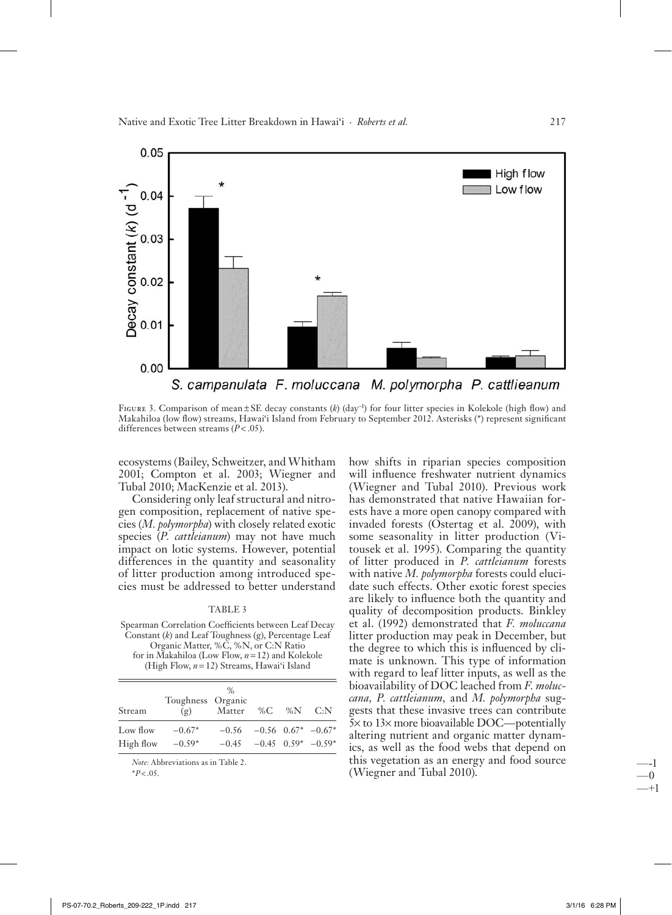Native and Exotic Tree Litter Breakdown in Hawai'i · Roberts et al.



FIGURE 3. Comparison of mean ± SE decay constants  $(k)$  (day<sup>-1</sup>) for four litter species in Kolekole (high flow) and Makahiloa (low flow) streams, Hawaiʻi Island from February to September 2012. Asterisks (\*) represent significant differences between streams  $(P < .05)$ .

ecosystems (Bailey, Schweitzer, and Whitham 2001; Compton et al. 2003; Wiegner and Tubal 2010; MacKenzie et al. 2013).

Considering only leaf structural and nitrogen composition, replacement of native species (M. polymorpha) with closely related exotic species (*P. cattleianum*) may not have much impact on lotic systems. However, potential differences in the quantity and seasonality of litter production among introduced species must be addressed to better understand

#### TABLE 3

Spearman Correlation Coefficients between Leaf Decay Constant  $(k)$  and Leaf Toughness  $(g)$ , Percentage Leaf Organic Matter, %C, %N, or C:N Ratio for in Makahiloa (Low Flow,  $n = 12$ ) and Kolekole (High Flow,  $n = 12$ ) Streams, Hawai'i Island

| Stream    | Toughness Organic<br>(g) | $\%$<br>Matter %C %N C:N           |  |  |
|-----------|--------------------------|------------------------------------|--|--|
| Low flow  | $-0.67*$                 | $-0.56$ $-0.56$ $0.67^*$ $-0.67^*$ |  |  |
| High flow | $-0.59*$                 | $-0.45$ $-0.45$ $0.59^*$ $-0.59^*$ |  |  |

Note: Abbreviations as in Table 2.

 $*P < .05$ .

how shifts in riparian species composition will influence freshwater nutrient dynamics (Wiegner and Tubal 2010). Previous work has demonstrated that native Hawaiian forests have a more open canopy compared with invaded forests (Ostertag et al. 2009), with some seasonality in litter production (Vitousek et al. 1995). Comparing the quantity of litter produced in P. cattleianum forests with native M. *polymorpha* forests could elucidate such effects. Other exotic forest species are likely to influence both the quantity and quality of decomposition products. Binkley et al. (1992) demonstrated that F. moluccana litter production may peak in December, but the degree to which this is influenced by climate is unknown. This type of information with regard to leaf litter inputs, as well as the bioavailability of DOC leached from F. moluccana, P. cattleianum, and M. polymorpha suggests that these invasive trees can contribute  $5\times$  to  $13\times$  more bioavailable DOC—potentially altering nutrient and organic matter dynamics, as well as the food webs that depend on this vegetation as an energy and food source (Wiegner and Tubal 2010).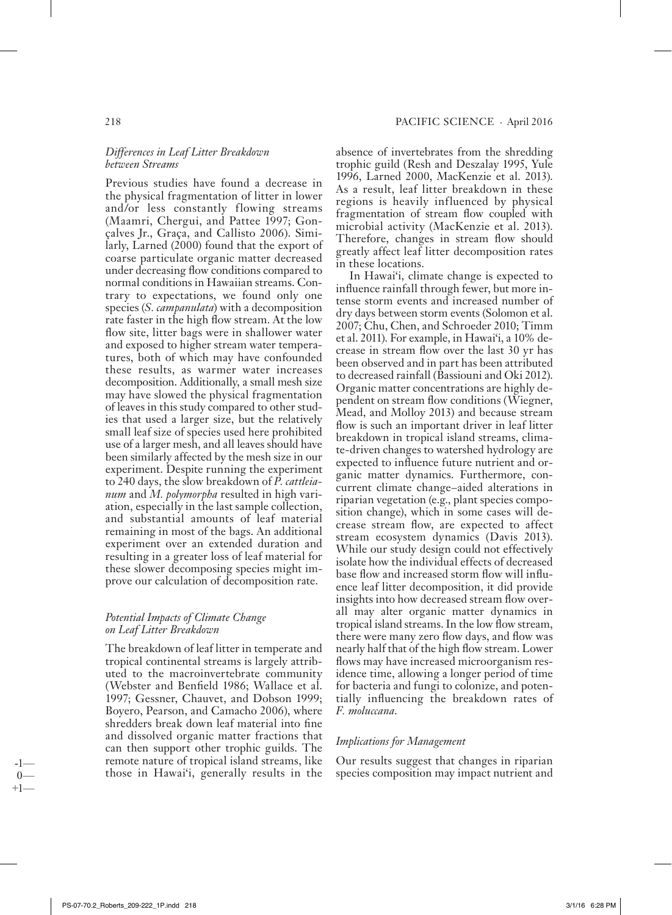# 218 PACIFIC SCIENCE · April 2016

# *Differences in Leaf Litter Breakdown be tween Streams*

Previous studies have found a decrease in the physical fragmentation of litter in lower and/or less constantly flowing streams (Maamri, Chergui, and Pattee 1997; Gonçalves Jr., Graça, and Callisto 2006). Similarly, Larned (2000) found that the export of coarse particulate organic matter decreased under decreasing flow conditions compared to normal conditions in Hawaiian streams. Contrary to expectations, we found only one species (*S. campanulata*) with a decomposition rate faster in the high flow stream. At the low flow site, litter bags were in shallower water and exposed to higher stream water temperatures, both of which may have confounded these results, as warmer water increases decomposition. Additionally, a small mesh size may have slowed the physical fragmentation of leaves in this study com pared to other studies that used a larger size, but the relatively small leaf size of species used here prohibited use of a larger mesh, and all leaves should have been similarly affected by the mesh size in our experiment. Despite running the experiment to 240 days, the slow break down of *P. cattleianum* and *M. polymorpha* resulted in high variation, especially in the last sample collection, and substantial amounts of leaf material remaining in most of the bags. An additional experiment over an extended duration and resulting in a greater loss of leaf material for these slower decomposing species might improve our calculation of decomposition rate.

# *Potential Impacts of Climate Change on Leaf Litter Breakdown*

The breakdown of leaf litter in temperate and tropical continental streams is largely attributed to the macroinvertebrate community (Webster and Benfield 1986; Wallace et al. 1997; Gessner, Chauvet, and Dobson 1999; Boyero, Pearson, and Camacho 2006), where shredders break down leaf material into fine and dissolved organic matter fractions that can then support other trophic guilds. The remote nature of tropical island streams, like those in Hawai'i, generally results in the

absence of invertebrates from the shredding trophic guild (Resh and Deszalay 1995, Yule 1996, Larned 2000, MacKenzie et al. 2013). As a result, leaf litter breakdown in these regions is heavily influenced by physical fragmentation of stream flow coupled with microbial activity (MacKenzie et al. 2013). Therefore, changes in stream flow should greatly affect leaf litter decomposition rates in these locations.

In Hawai'i, climate change is expected to in fluence rainfall through fewer, but more intense storm events and increased number of dry days between storm events (Solomon et al. 2007; Chu, Chen, and Schroeder 2010; Timm et al. 2011). For example, in Hawai'i, a 10% decrease in stream flow over the last 30 yr has been observed and in part has been attributed to decreased rainfall (Bassiouni and Oki 2012). Organic matter concentrations are highly dependent on stream flow conditions (Wiegner, Mead, and Molloy 2013) and because stream flow is such an important driver in leaf litter breakdown in tropical island streams, climate-driven changes to watershed hydrology are expected to influence future nutrient and organic matter dynamics. Furthermore, concurrent climate change-aided alterations in riparian vegetation (e.g., plant species composition change), which in some cases will decrease stream flow, are expected to affect stream ecosystem dynamics (Davis 2013). While our study design could not effectively isolate how the individual effects of decreased base flow and increased storm flow will influence leaf litter decomposition, it did provide insights into how decreased stream flow overall may alter organic matter dynamics in tropical island streams. In the low flow stream, there were many zero flow days, and flow was nearly half that of the high flow stream. Lower flows may have increased microorganism residence time, allowing a longer period of time for bacteria and fungi to colonize, and potentially influencing the breakdown rates of *F. moluccana* .

# *Implications for Management*

Our results suggest that changes in riparian species composition may impact nutrient and

-1—  $\Omega$  $+1$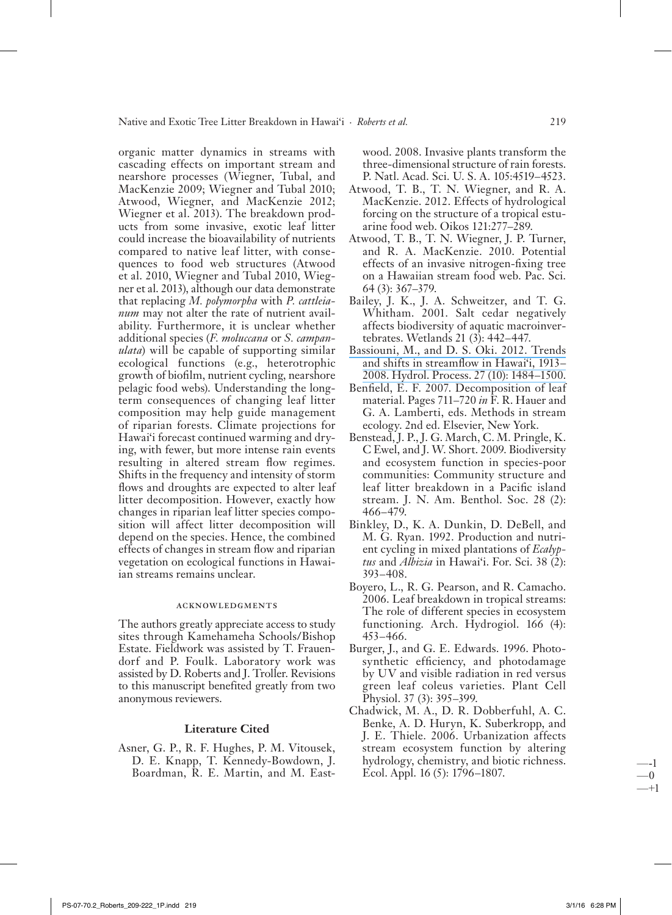organic matter dynamics in streams with cascading effects on important stream and nearshore processes (Wiegner, Tubal, and MacKenzie 2009; Wiegner and Tubal 2010; Atwood, Wiegner, and MacKenzie 2012; Wiegner et al. 2013). The breakdown products from some invasive, exotic leaf litter could increase the bioavailability of nutrients compared to native leaf litter, with consequences to food web structures (Atwood et al. 2010, Wiegner and Tubal 2010, Wiegner et al. 2013), although our data demonstrate that replacing *M. polymorpha* with *P. cattleianum* may not alter the rate of nutrient availability. Furthermore, it is unclear whether additional species (*F. moluccana* or *S. campanulata*) will be capable of supporting similar ecological functions (e.g., heterotrophic growth of biofilm, nutrient cycling, nearshore pelagic food webs). Understanding the longterm consequences of changing leaf litter composition may help guide management of riparian forests. Climate projections for Hawai'i forecast continued warming and drying, with fewer, but more intense rain events resulting in altered stream flow regimes. Shifts in the frequency and intensity of storm flows and droughts are expected to alter leaf litter decomposition. However, exactly how changes in riparian leaf litter species composition will affect litter decomposition will depend on the species. Hence, the combined effects of changes in stream flow and riparian vegetation on ecological functions in Hawaiian streams remains unclear.

#### Acknowledgments

The authors greatly appreciate access to study sites through Kamehameha Schools/Bishop Estate. Fieldwork was assisted by T. Frauendorf and P. Foulk. Laboratory work was assisted by D. Roberts and J. Troller. Revisions to this manuscript benefited greatly from two anonymous reviewers.

# **Literature Cited**

Asner, G. P., R. F. Hughes, P. M. Vitousek, D. E. Knapp, T. Kennedy - Bowdown, J. Boardman, R. E. Martin, and M. Eastwood. 2008. Invasive plants transform the three-dimensional structure of rain forests. P. Natl. Acad. Sci. U. S. A. 105:4519 – 4523.

- Atwood, T. B., T. N. Wiegner, and R. A. MacKenzie. 2012. Effects of hydrological forcing on the structure of a tropical estuarine food web. Oikos 121:277-289.
- Atwood, T. B., T. N. Wiegner, J. P. Turner, and R. A. MacKenzie. 2010. Potential effects of an invasive nitrogen-fixing tree on a Hawaiian stream food web. Pac. Sci. 64 (3): 367 – 379.
- Bailey, J. K., J. A. Schweitzer, and T. G. Whitham. 2001. Salt cedar negatively affects biodiversity of aquatic macroinvertebrates. Wetlands 21 (3): 442 – 447.
- [Bassiouni, M., and D. S. Oki. 2012. Trends](https://www.researchgate.net/publication/258787983_Trends_and_shifts_in_streamflow_in_Hawaii_1913-2008?el=1_x_8&enrichId=rgreq-bee87492208f18b8383750c0a24295f5-XXX&enrichSource=Y292ZXJQYWdlOzI5OTUwMDQ2OTtBUzozNTEyMDgxNTA3MTY0MThAMTQ2MDc0NTk1NjgzNQ==)  and shifts in streamflow in Hawai'i, 1913-2008. Hydrol. Process. 27 (10): 1484–1500.
- Benfield, E. F. 2007. Decomposition of leaf material. Pages 711–720 in F. R. Hauer and G. A. Lamberti, eds. Methods in stream ecology. 2nd ed. Elsevier, New York.
- Benstead, J. P., J. G. March, C. M. Pringle, K. C Ewel, and J. W. Short. 2009. Biodiversity and ecosystem function in species-poor communities: Community structure and leaf litter breakdown in a Pacific island stream. J. N. Am. Benthol. Soc. 28 (2): 466 – 479.
- Binkley, D., K. A. Dunkin, D. DeBell, and M. G. Ryan. 1992. Production and nutrient cycling in mixed plantations of *Ecalyp*tus and *Albizia* in Hawai'i. For. Sci. 38 (2): 393 – 408.
- Boyero, L., R. G. Pearson, and R. Camacho. 2006. Leaf breakdown in tropical streams: The role of different species in ecosystem functioning. Arch. Hydrogiol. 166 (4): 453 – 466.
- Burger, J., and G. E. Edwards. 1996. Photosynthetic efficiency, and photodamage by UV and visible radiation in red versus green leaf coleus varieties. Plant Cell Physiol. 37 (3): 395–399.
- Chadwick, M. A., D. R. Dobberfuhl, A. C. Benke, A. D. Huryn, K. Suberkropp, and J. E. Thiele. 2006. Urbanization affects stream ecosystem function by altering hydrology, chemistry, and biotic richness. Ecol. Appl. 16 (5): 1796–1807.

—-1 —0 —+1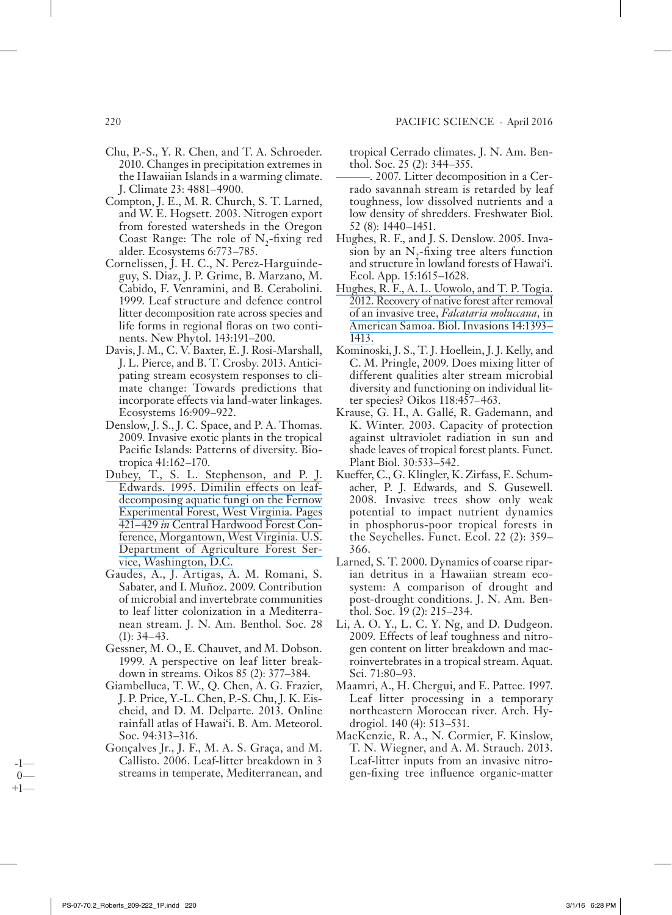- Chu, P.-S., Y. R. Chen, and T. A. Schroeder. 2010. Changes in precipitation extremes in the Hawaiian Islands in a warming climate. J. Climate 23: 4881 – 4900.
- Compton, J. E., M. R. Church, S. T. Larned, and W. E. Hogsett. 2003. Nitrogen export from forested watersheds in the Oregon Coast Range: The role of  $N$ -fixing red alder. Ecosystems 6:773-785.
- Cornelissen, J. H. C., N. Perez-Harguindeguy, S. Diaz, J. P. Grime, B. Marzano, M. Cabido, F. Venramini, and B. Cerabolini. 1999. Leaf structure and defence control litter decomposition rate across species and life forms in regional floras on two continents. New Phytol. 143:191–200.
- Davis, J. M., C. V. Baxter, E. J. Rosi-Marshall, J. L. Pierce, and B. T. Crosby. 2013. Anticipating stream ecosystem responses to climate change: Towards predictions that incorporate effects via land-water linkages. Ecosystems 16:909–922.
- Denslow, J. S., J. C. Space, and P. A. Thomas. 2009. Invasive exotic plants in the tropical Pacific Islands: Patterns of diversity. Biotropica 41:162-170.
- [Dubey, T., S. L. Stephenson, and P. J.](https://www.researchgate.net/publication/241409987_DIMILIN_EFFECTS_ON_LEAF-DECOMPOSING_AQUATIC_FUNGI_ON_THE_FERNOW_EXPEFUMENTAL_FOREST_WEST_VIRGINIA?el=1_x_8&enrichId=rgreq-bee87492208f18b8383750c0a24295f5-XXX&enrichSource=Y292ZXJQYWdlOzI5OTUwMDQ2OTtBUzozNTEyMDgxNTA3MTY0MThAMTQ2MDc0NTk1NjgzNQ==) Edwards. 1995. Dimilin effects on leaf[decomposing aquatic fungi on the Fernow](https://www.researchgate.net/publication/241409987_DIMILIN_EFFECTS_ON_LEAF-DECOMPOSING_AQUATIC_FUNGI_ON_THE_FERNOW_EXPEFUMENTAL_FOREST_WEST_VIRGINIA?el=1_x_8&enrichId=rgreq-bee87492208f18b8383750c0a24295f5-XXX&enrichSource=Y292ZXJQYWdlOzI5OTUwMDQ2OTtBUzozNTEyMDgxNTA3MTY0MThAMTQ2MDc0NTk1NjgzNQ==) [Experimental Forest, West Virginia. Pages](https://www.researchgate.net/publication/241409987_DIMILIN_EFFECTS_ON_LEAF-DECOMPOSING_AQUATIC_FUNGI_ON_THE_FERNOW_EXPEFUMENTAL_FOREST_WEST_VIRGINIA?el=1_x_8&enrichId=rgreq-bee87492208f18b8383750c0a24295f5-XXX&enrichSource=Y292ZXJQYWdlOzI5OTUwMDQ2OTtBUzozNTEyMDgxNTA3MTY0MThAMTQ2MDc0NTk1NjgzNQ==) 421 – 429 *in* [Central Hardwood Forest Con](https://www.researchgate.net/publication/241409987_DIMILIN_EFFECTS_ON_LEAF-DECOMPOSING_AQUATIC_FUNGI_ON_THE_FERNOW_EXPEFUMENTAL_FOREST_WEST_VIRGINIA?el=1_x_8&enrichId=rgreq-bee87492208f18b8383750c0a24295f5-XXX&enrichSource=Y292ZXJQYWdlOzI5OTUwMDQ2OTtBUzozNTEyMDgxNTA3MTY0MThAMTQ2MDc0NTk1NjgzNQ==)[ference, Morgantown, West Virginia. U.S.](https://www.researchgate.net/publication/241409987_DIMILIN_EFFECTS_ON_LEAF-DECOMPOSING_AQUATIC_FUNGI_ON_THE_FERNOW_EXPEFUMENTAL_FOREST_WEST_VIRGINIA?el=1_x_8&enrichId=rgreq-bee87492208f18b8383750c0a24295f5-XXX&enrichSource=Y292ZXJQYWdlOzI5OTUwMDQ2OTtBUzozNTEyMDgxNTA3MTY0MThAMTQ2MDc0NTk1NjgzNQ==) [Department of Agriculture Forest Ser](https://www.researchgate.net/publication/241409987_DIMILIN_EFFECTS_ON_LEAF-DECOMPOSING_AQUATIC_FUNGI_ON_THE_FERNOW_EXPEFUMENTAL_FOREST_WEST_VIRGINIA?el=1_x_8&enrichId=rgreq-bee87492208f18b8383750c0a24295f5-XXX&enrichSource=Y292ZXJQYWdlOzI5OTUwMDQ2OTtBUzozNTEyMDgxNTA3MTY0MThAMTQ2MDc0NTk1NjgzNQ==)[vice, Washington, D.C.](https://www.researchgate.net/publication/241409987_DIMILIN_EFFECTS_ON_LEAF-DECOMPOSING_AQUATIC_FUNGI_ON_THE_FERNOW_EXPEFUMENTAL_FOREST_WEST_VIRGINIA?el=1_x_8&enrichId=rgreq-bee87492208f18b8383750c0a24295f5-XXX&enrichSource=Y292ZXJQYWdlOzI5OTUwMDQ2OTtBUzozNTEyMDgxNTA3MTY0MThAMTQ2MDc0NTk1NjgzNQ==)
- Gaudes, A., J. Artigas, A. M. Romani, S. Sabater, and I. Muñoz. 2009. Contribution of microbial and invertebrate communities to leaf litter colonization in a Mediterranean stream. J. N. Am. Benthol. Soc. 28  $(1): 34 - 43.$
- Gessner, M. O., E. Chauvet, and M. Dobson. 1999. A perspective on leaf litter breakdown in streams. Oikos 85 (2): 377 – 384.
- Giambelluca, T. W., Q. Chen, A. G. Frazier, J. P. Price, Y.-L. Chen, P.-S. Chu, J. K. Eischeid, and D. M. Delparte. 2013. Online rainfall atlas of Hawai'i. B. Am. Meteorol. Soc. 94:313–316.
- Gonçalves Jr., J. F., M. A. S. Graça, and M. Callisto. 2006. Leaf-litter breakdown in 3 streams in temperate, Mediterranean, and

tropical Cerrado climates. J. N. Am. Benthol. Soc. 25 (2): 344–355.

- — . 2007. Litter de com po si tion in a Cerrado savannah stream is retarded by leaf toughness, low dissolved nutrients and a low density of shredders. Freshwater Biol. 52 (8): 1440 – 1451.
- Hughes, R. F., and J. S. Denslow. 2005. Invasion by an  $N$ -fixing tree alters function and structure in lowland forests of Hawai'i. Ecol. App. 15:1615–1628.
- [Hughes, R. F., A. L. Uowolo, and T. P. Togia.](https://www.researchgate.net/publication/257537621_Recovery_of_native_forest_after_removal_of_an_invasive_tree_Falcataria_moluccana_in_American_Samoa?el=1_x_8&enrichId=rgreq-bee87492208f18b8383750c0a24295f5-XXX&enrichSource=Y292ZXJQYWdlOzI5OTUwMDQ2OTtBUzozNTEyMDgxNTA3MTY0MThAMTQ2MDc0NTk1NjgzNQ==) 2012. Recovery of native forest after removal of an in va sive tree, *[Falcataria moluccana,](https://www.researchgate.net/publication/257537621_Recovery_of_native_forest_after_removal_of_an_invasive_tree_Falcataria_moluccana_in_American_Samoa?el=1_x_8&enrichId=rgreq-bee87492208f18b8383750c0a24295f5-XXX&enrichSource=Y292ZXJQYWdlOzI5OTUwMDQ2OTtBUzozNTEyMDgxNTA3MTY0MThAMTQ2MDc0NTk1NjgzNQ==)* in American Samoa. Biol. Invasions 14:1393-[1413.](https://www.researchgate.net/publication/257537621_Recovery_of_native_forest_after_removal_of_an_invasive_tree_Falcataria_moluccana_in_American_Samoa?el=1_x_8&enrichId=rgreq-bee87492208f18b8383750c0a24295f5-XXX&enrichSource=Y292ZXJQYWdlOzI5OTUwMDQ2OTtBUzozNTEyMDgxNTA3MTY0MThAMTQ2MDc0NTk1NjgzNQ==)
- Kominoski, J. S., T. J. Hoellein, J. J. Kelly, and C. M. Pringle, 2009. Does mixing litter of different qualities alter stream microbial diversity and functioning on individual litter species? Oikos 118:457–463.
- Krause, G. H., A. Gallé, R. Gademann, and K. Winter. 2003. Capacity of protection against ultraviolet radiation in sun and shade leaves of tropical forest plants. Funct. Plant Biol. 30:533-542.
- Kueffer, C., G. Klingler, K. Zirfass, E. Schumacher, P. J. Edwards, and S. Gusewell. 2008. Invasive trees show only weak potential to impact nutrient dynamics in phosphorus-poor tropical forests in the Seychelles. Funct. Ecol. 22 (2): 359 – 366.
- Larned, S. T. 2000. Dynamics of coarse riparian detritus in a Hawaiian stream ecosystem: A comparison of drought and post-drought conditions. J. N. Am. Benthol. Soc. 19 (2): 215–234.
- Li, A. O. Y., L. C. Y. Ng, and D. Dudgeon. 2009. Effects of leaf toughness and nitrogen content on litter breakdown and macroinvertebrates in a tropical stream. Aquat. Sci. 71:80–93.
- Maamri, A., H. Chergui, and E. Pattee. 1997. Leaf litter processing in a temporary northeastern Moroccan river. Arch. Hydrogiol. 140 (4): 513-531.
- MacKenzie, R. A., N. Cormier, F. Kinslow, T. N. Wiegner, and A. M. Strauch. 2013. Leaf-litter inputs from an invasive nitrogen-fixing tree influence organic-matter

-1—  $\Omega$  $+1-$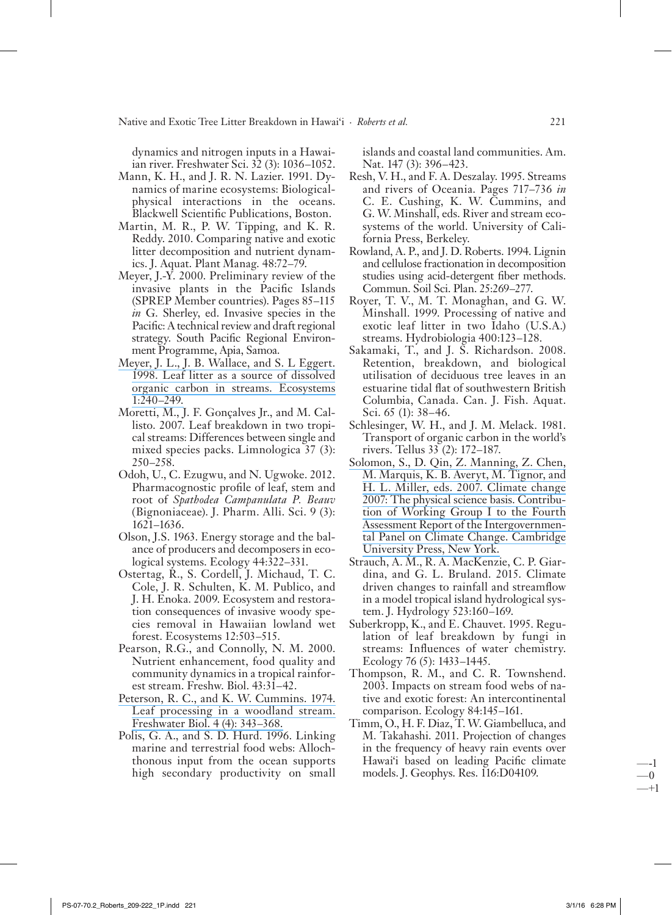Native and Exotic Tree Litter Breakdown in Hawai'i · Roberts et al.

dynamics and nitrogen inputs in a Hawaiian river. Freshwater Sci. 32 (3): 1036–1052.

- Mann, K. H., and J. R. N. Lazier. 1991. Dynamics of marine ecosystems: Biologicalphysical interactions in the oceans. Blackwell Scientific Publications, Boston.
- Martin, M. R., P. W. Tipping, and K. R. Reddy. 2010. Comparing native and exotic litter decomposition and nutrient dynamics. J. Aquat. Plant Manag. 48:72-79.
- Meyer, J.-Y. 2000. Preliminary review of the invasive plants in the Pacific Islands (SPREP Member countries). Pages 85–115 in G. Sherley, ed. Invasive species in the Pacific: A technical review and draft regional strategy. South Pacific Regional Environment Programme, Apia, Samoa.
- Meyer, J. L., J. B. Wallace, and S. L Eggert. 1998. Leaf litter as a source of dissolved organic carbon in streams. Ecosystems  $1:240 - 249.$
- Moretti, M., J. F. Gonçalves Jr., and M. Callisto. 2007. Leaf breakdown in two tropical streams: Differences between single and mixed species packs. Limnologica 37 (3):  $250 - 258$ .
- Odoh, U., C. Ezugwu, and N. Ugwoke. 2012. Pharmacognostic profile of leaf, stem and root of Spathodea Campanulata P. Beauv (Bignoniaceae). J. Pharm. Alli. Sci. 9 (3):  $1621 - 1636.$
- Olson, J.S. 1963. Energy storage and the balance of producers and decomposers in ecological systems. Ecology 44:322-331.
- Ostertag, R., S. Cordell, J. Michaud, T. C. Cole, J. R. Schulten, K. M. Publico, and J. H. Enoka. 2009. Ecosystem and restoration consequences of invasive woody species removal in Hawaiian lowland wet forest. Ecosystems 12:503–515.
- Pearson, R.G., and Connolly, N. M. 2000. Nutrient enhancement, food quality and community dynamics in a tropical rainforest stream. Freshw. Biol. 43:31-42.
- Peterson, R. C., and K. W. Cummins. 1974. Leaf processing in a woodland stream. Freshwater Biol. 4 (4): 343-368.
- Polis, G. A., and S. D. Hurd. 1996. Linking marine and terrestrial food webs: Allochthonous input from the ocean supports high secondary productivity on small

islands and coastal land communities. Am. Nat. 147 (3): 396–423.

- Resh, V. H., and F. A. Deszalay. 1995. Streams and rivers of Oceania. Pages 717-736 in C. E. Cushing, K. W. Cummins, and G. W. Minshall, eds. River and stream ecosystems of the world. University of California Press, Berkeley.
- Rowland, A. P., and J. D. Roberts. 1994. Lignin and cellulose fractionation in decomposition studies using acid-detergent fiber methods. Commun. Soil Sci. Plan. 25:269–277.
- Royer, T. V., M. T. Monaghan, and G. W. Minshall. 1999. Processing of native and exotic leaf litter in two Idaho (U.S.A.) streams. Hydrobiologia 400:123-128.
- Sakamaki, T., and J. S. Richardson. 2008. Retention, breakdown, and biological utilisation of deciduous tree leaves in an estuarine tidal flat of southwestern British Columbia, Canada. Can. J. Fish. Aquat. Sci. 65 (1): 38-46.
- Schlesinger, W. H., and J. M. Melack. 1981. Transport of organic carbon in the world's rivers. Tellus 33 (2): 172–187.
- Solomon, S., D. Qin, Z. Manning, Z. Chen, M. Marquis, K. B. Averyt, M. Tignor, and H. L. Miller, eds. 2007. Climate change 2007: The physical science basis. Contribution of Working Group I to the Fourth Assessment Report of the Intergovernmental Panel on Climate Change. Cambridge University Press, New York.
- Strauch, A. M., R. A. MacKenzie, C. P. Giardina, and G. L. Bruland. 2015. Climate driven changes to rainfall and streamflow in a model tropical island hydrological system. J. Hydrology 523:160–169.
- Suberkropp, K., and E. Chauvet. 1995. Regulation of leaf breakdown by fungi in streams: Influences of water chemistry. Ecology 76 (5): 1433-1445.
- Thompson, R. M., and C. R. Townshend. 2003. Impacts on stream food webs of native and exotic forest: An intercontinental comparison. Ecology 84:145-161.
- Timm, O., H. F. Diaz, T. W. Giambelluca, and M. Takahashi. 2011. Projection of changes in the frequency of heavy rain events over Hawai'i based on leading Pacific climate models. J. Geophys. Res. 116:D04109.

- 1  $\Omega$ -+1